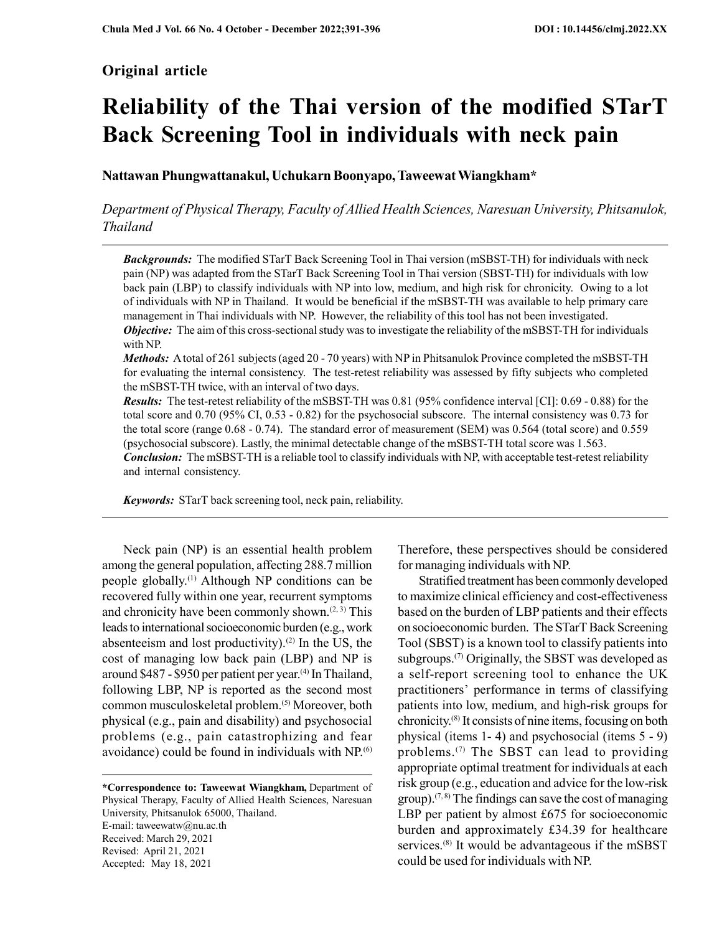# Original article

# Reliability of the Thai version of the modified STarT Back Screening Tool in individuals with neck pain

Nattawan Phungwattanakul, Uchukarn Boonyapo, Taweewat Wiangkham\*

Department of Physical Therapy, Faculty of Allied Health Sciences, Naresuan University, Phitsanulok, Thailand

**Backgrounds:** The modified STarT Back Screening Tool in Thai version (mSBST-TH) for individuals with neck pain (NP) was adapted from the STarT Back Screening Tool in Thai version (SBST-TH) for individuals with low back pain (LBP) to classify individuals with NP into low, medium, and high risk for chronicity. Owing to a lot of individuals with NP in Thailand. It would be beneficial if the mSBST-TH was available to help primary care management in Thai individuals with NP. However, the reliability of this tool has not been investigated. **Objective:** The aim of this cross-sectional study was to investigate the reliability of the mSBST-TH for individuals

with NP. Methods: A total of 261 subjects (aged 20 - 70 years) with NP in Phitsanulok Province completed the mSBST-TH

for evaluating the internal consistency. The test-retest reliability was assessed by fifty subjects who completed the mSBST-TH twice, with an interval of two days.

Results: The test-retest reliability of the mSBST-TH was 0.81 (95% confidence interval [CI]: 0.69 - 0.88) for the total score and 0.70 (95% CI, 0.53 - 0.82) for the psychosocial subscore. The internal consistency was 0.73 for the total score (range 0.68 - 0.74). The standard error of measurement (SEM) was 0.564 (total score) and 0.559 (psychosocial subscore). Lastly, the minimal detectable change of the mSBST-TH total score was 1.563.

**Conclusion:** The mSBST-TH is a reliable tool to classify individuals with NP, with acceptable test-retest reliability and internal consistency.

Keywords: STarT back screening tool, neck pain, reliability.

Neck pain (NP) is an essential health problem among the general population, affecting 288.7 million people globally.(1) Although NP conditions can be recovered fully within one year, recurrent symptoms and chronicity have been commonly shown. $(2, 3)$  This leads to international socioeconomic burden (e.g., work absenteeism and lost productivity).<sup>(2)</sup> In the US, the cost of managing low back pain (LBP) and NP is around \$487 - \$950 per patient per year.<sup>(4)</sup> In Thailand, following LBP, NP is reported as the second most common musculoskeletal problem.(5) Moreover, both physical (e.g., pain and disability) and psychosocial problems (e.g., pain catastrophizing and fear avoidance) could be found in individuals with NP.<sup>(6)</sup>

\*Correspondence to: Taweewat Wiangkham, Department of Physical Therapy, Faculty of Allied Health Sciences, Naresuan University, Phitsanulok 65000, Thailand. E-mail: taweewatw@nu.ac.th Received: March 29, 2021 Revised: April 21, 2021 Accepted: May 18, 2021

Therefore, these perspectives should be considered for managing individuals with NP.

Stratified treatment has been commonly developed to maximize clinical efficiency and cost-effectiveness based on the burden of LBP patients and their effects on socioeconomic burden. The STarT Back Screening Tool (SBST) is a known tool to classify patients into subgroups.<sup>(7)</sup> Originally, the SBST was developed as a self-report screening tool to enhance the UK practitioners' performance in terms of classifying patients into low, medium, and high-risk groups for chronicity.(8) It consists of nine items, focusing on both physical (items 1- 4) and psychosocial (items 5 - 9) problems.<sup>(7)</sup> The SBST can lead to providing appropriate optimal treatment for individuals at each risk group (e.g., education and advice for the low-risk group).<sup> $(7, 8)$ </sup> The findings can save the cost of managing LBP per patient by almost £675 for socioeconomic burden and approximately £34.39 for healthcare services.<sup>(8)</sup> It would be advantageous if the mSBST could be used for individuals with NP.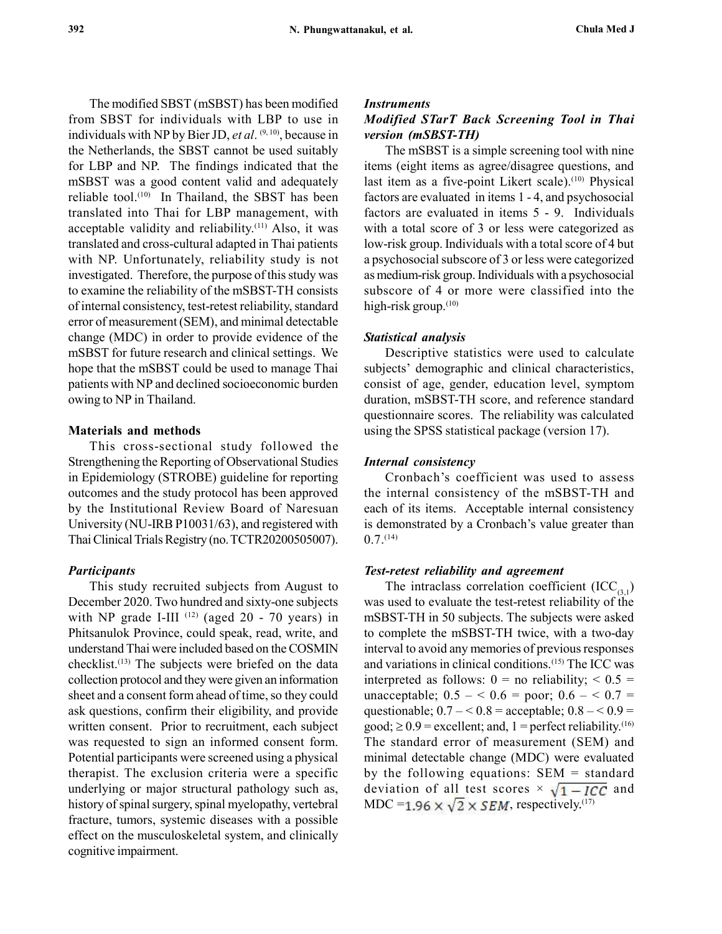The modified SBST (mSBST) has been modified from SBST for individuals with LBP to use in individuals with NP by Bier JD, et al.  $(9, 10)$ , because in the Netherlands, the SBST cannot be used suitably for LBP and NP. The findings indicated that the mSBST was a good content valid and adequately reliable tool. $(10)$  In Thailand, the SBST has been translated into Thai for LBP management, with acceptable validity and reliability.(11) Also, it was translated and cross-cultural adapted in Thai patients with NP. Unfortunately, reliability study is not investigated. Therefore, the purpose of this study was to examine the reliability of the mSBST-TH consists of internal consistency, test-retest reliability, standard error of measurement (SEM), and minimal detectable change (MDC) in order to provide evidence of the mSBST for future research and clinical settings. We hope that the mSBST could be used to manage Thai patients with NP and declined socioeconomic burden owing to NP in Thailand.

#### Materials and methods

This cross-sectional study followed the Strengthening the Reporting of Observational Studies in Epidemiology (STROBE) guideline for reporting outcomes and the study protocol has been approved by the Institutional Review Board of Naresuan University (NU-IRB P10031/63), and registered with Thai Clinical Trials Registry (no. TCTR20200505007).

## Participants

This study recruited subjects from August to December 2020. Two hundred and sixty-one subjects with NP grade I-III  $^{(12)}$  (aged 20 - 70 years) in Phitsanulok Province, could speak, read, write, and understand Thai were included based on the COSMIN  $checklist.<sup>(13)</sup>$  The subjects were briefed on the data collection protocol and they were given an information sheet and a consent form ahead of time, so they could ask questions, confirm their eligibility, and provide written consent. Prior to recruitment, each subject was requested to sign an informed consent form. Potential participants were screened using a physical therapist. The exclusion criteria were a specific underlying or major structural pathology such as, history of spinal surgery, spinal myelopathy, vertebral fracture, tumors, systemic diseases with a possible effect on the musculoskeletal system, and clinically cognitive impairment.

#### **Instruments**

## Modified STarT Back Screening Tool in Thai version (mSBST-TH)

The mSBST is a simple screening tool with nine items (eight items as agree/disagree questions, and last item as a five-point Likert scale).<sup>(10)</sup> Physical factors are evaluated in items 1 - 4, and psychosocial factors are evaluated in items 5 - 9. Individuals with a total score of 3 or less were categorized as low-risk group. Individuals with a total score of 4 but a psychosocial subscore of 3 or less were categorized as medium-risk group. Individuals with a psychosocial subscore of 4 or more were classified into the high-risk group.<sup>(10)</sup>

#### Statistical analysis

Descriptive statistics were used to calculate subjects' demographic and clinical characteristics, consist of age, gender, education level, symptom duration, mSBST-TH score, and reference standard questionnaire scores. The reliability was calculated using the SPSS statistical package (version 17).

#### Internal consistency

Cronbach's coefficient was used to assess the internal consistency of the mSBST-TH and each of its items. Acceptable internal consistency is demonstrated by a Cronbach's value greater than  $0.7$ .  $(14)$ 

#### Test-retest reliability and agreement

The intraclass correlation coefficient  $(ICC_{(3,1)})$ was used to evaluate the test-retest reliability of the mSBST-TH in 50 subjects. The subjects were asked to complete the mSBST-TH twice, with a two-day interval to avoid any memories of previous responses and variations in clinical conditions.(15) The ICC was interpreted as follows:  $0 =$  no reliability;  $\le 0.5 =$ unacceptable;  $0.5 - 6.6 =$  poor;  $0.6 - 6.7 =$ questionable;  $0.7 - 0.8$  = acceptable;  $0.8 - 0.9$  = good;  $\geq 0.9$  = excellent; and, 1 = perfect reliability.<sup>(16)</sup> The standard error of measurement (SEM) and minimal detectable change (MDC) were evaluated by the following equations:  $SEM = standard$ deviation of all test scores  $\times \sqrt{1-ICC}$  and MDC = 1.96  $\times \sqrt{2} \times$  SEM, respectively.<sup>(17)</sup>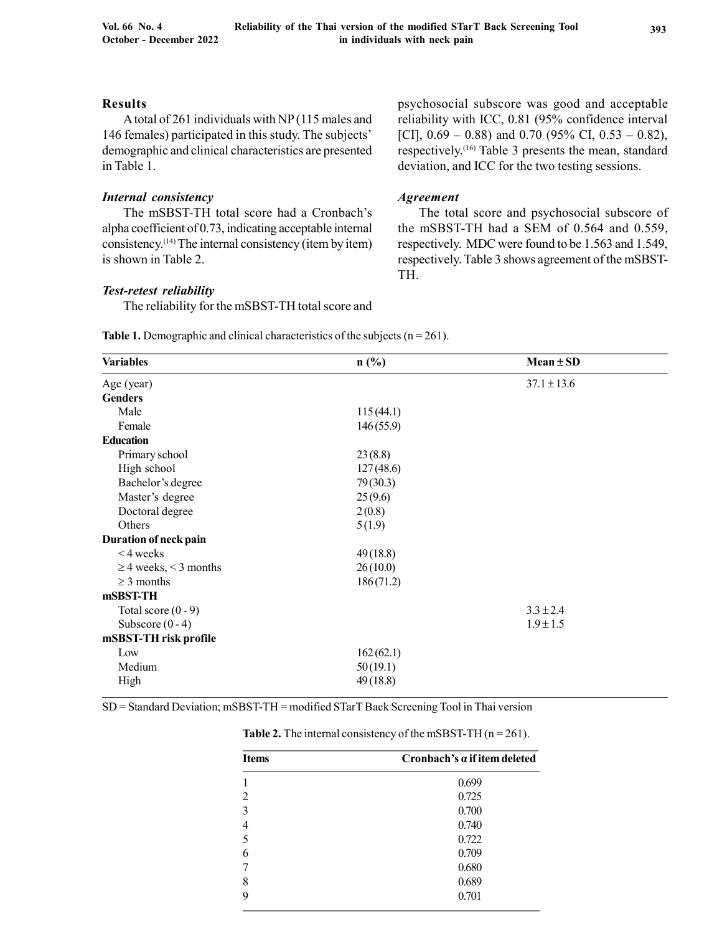## Results

A total of 261 individuals with NP (115 males and 146 females) participated in this study. The subjects' demographic and clinical characteristics are presented in Table 1.

## Internal consistency

The mSBST-TH total score had a Cronbach's alpha coefficient of 0.73, indicating acceptable internal consistency.(14) The internal consistency (item by item) is shown in Table 2.

#### Test-retest reliability

The reliability for the mSBST-TH total score and

psychosocial subscore was good and acceptable reliability with ICC, 0.81 (95% confidence interval [CI],  $0.69 - 0.88$ ) and 0.70 (95% CI, 0.53 – 0.82), respectively.(16) Table 3 presents the mean, standard deviation, and ICC for the two testing sessions.

#### Agreement

The total score and psychosocial subscore of the mSBST-TH had a SEM of 0.564 and 0.559, respectively. MDC were found to be 1.563 and 1.549, respectively. Table 3 shows agreement of the mSBST-TH.

**Table 1.** Demographic and clinical characteristics of the subjects  $(n = 261)$ .

| <b>Variables</b>           | $n\left(\frac{0}{0}\right)$ | $Mean \pm SD$   |  |
|----------------------------|-----------------------------|-----------------|--|
| Age (year)                 |                             | $37.1 \pm 13.6$ |  |
| <b>Genders</b>             |                             |                 |  |
| Male                       | 115(44.1)                   |                 |  |
| Female                     | 146(55.9)                   |                 |  |
| <b>Education</b>           |                             |                 |  |
| Primary school             | 23(8.8)                     |                 |  |
| High school                | 127(48.6)                   |                 |  |
| Bachelor's degree          | 79(30.3)                    |                 |  |
| Master's degree            | 25(9.6)                     |                 |  |
| Doctoral degree            | 2(0.8)                      |                 |  |
| Others                     | 5(1.9)                      |                 |  |
| Duration of neck pain      |                             |                 |  |
| $<$ 4 weeks                | 49(18.8)                    |                 |  |
| $\geq$ 4 weeks, < 3 months | 26(10.0)                    |                 |  |
| $\geq$ 3 months            | 186(71.2)                   |                 |  |
| mSBST-TH                   |                             |                 |  |
| Total score $(0 - 9)$      |                             | $3.3 \pm 2.4$   |  |
| Subscore $(0 - 4)$         |                             | $1.9 \pm 1.5$   |  |
| mSBST-TH risk profile      |                             |                 |  |
| Low                        |                             |                 |  |
| Medium                     |                             |                 |  |
| High                       | 49(18.8)                    |                 |  |
|                            | 162(62.1)<br>50(19.1)       |                 |  |

SD = Standard Deviation; mSBST-TH = modified STarT Back Screening Tool in Thai version

| <b>Items</b> | Cronbach's a if item deleted |  |  |
|--------------|------------------------------|--|--|
|              | 0.699                        |  |  |
| 2            | 0.725                        |  |  |
| 3            | 0.700                        |  |  |
| 4            | 0.740                        |  |  |
| 5            | 0.722                        |  |  |
| 6            | 0.709                        |  |  |
|              | 0.680                        |  |  |
| 8            | 0.689                        |  |  |
| 9            | 0.701                        |  |  |

**Table 2.** The internal consistency of the mSBST-TH  $(n = 261)$ .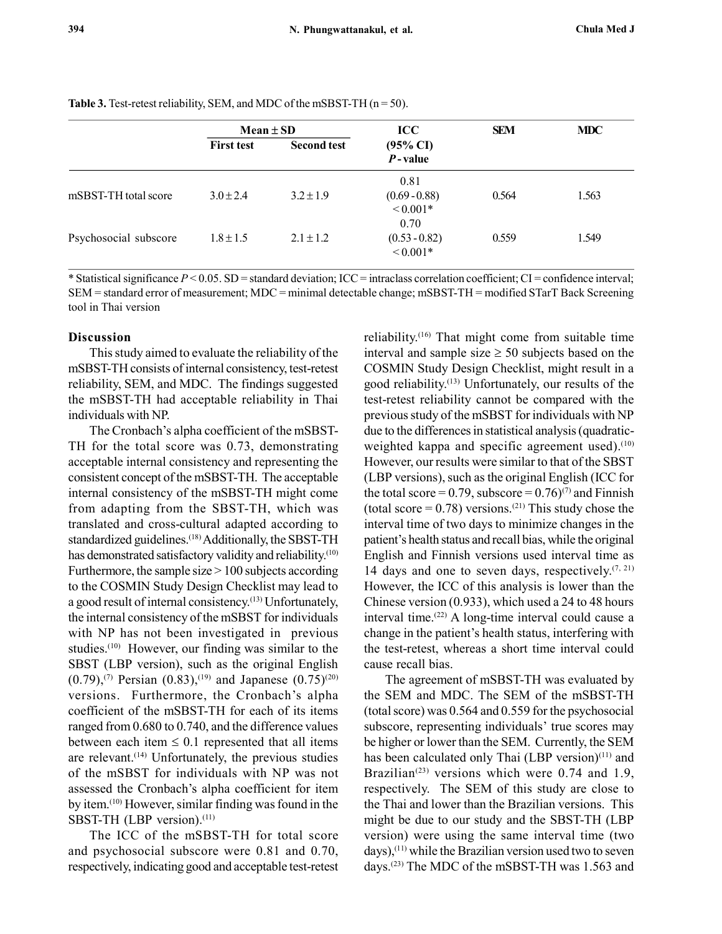|                       | $Mean \pm SD$     |                    | $\bf{ICC}$                               | <b>SEM</b> | <b>MDC</b> |
|-----------------------|-------------------|--------------------|------------------------------------------|------------|------------|
|                       | <b>First test</b> | <b>Second test</b> | $(95\% \text{ CI})$<br>$P$ -value        |            |            |
| mSBST-TH total score  | $3.0 \pm 2.4$     | $3.2 \pm 1.9$      | 0.81<br>$(0.69 - 0.88)$<br>${}_{0.001*}$ | 0.564      | 1.563      |
| Psychosocial subscore | $1.8 \pm 1.5$     | $2.1 \pm 1.2$      | 0.70<br>$(0.53 - 0.82)$<br>${}_{0.001*}$ | 0.559      | 1.549      |

Table 3. Test-retest reliability, SEM, and MDC of the mSBST-TH  $(n = 50)$ .

\* Statistical significance  $P < 0.05$ . SD = standard deviation; ICC = intraclass correlation coefficient; CI = confidence interval; SEM = standard error of measurement; MDC = minimal detectable change; mSBST-TH = modified STarT Back Screening tool in Thai version

## Discussion

This study aimed to evaluate the reliability of the mSBST-TH consists of internal consistency, test-retest reliability, SEM, and MDC. The findings suggested the mSBST-TH had acceptable reliability in Thai individuals with NP.

The Cronbach's alpha coefficient of the mSBST-TH for the total score was 0.73, demonstrating acceptable internal consistency and representing the consistent concept of the mSBST-TH. The acceptable internal consistency of the mSBST-TH might come from adapting from the SBST-TH, which was translated and cross-cultural adapted according to standardized guidelines.<sup>(18)</sup> Additionally, the SBST-TH has demonstrated satisfactory validity and reliability.<sup>(10)</sup> Furthermore, the sample size  $> 100$  subjects according to the COSMIN Study Design Checklist may lead to a good result of internal consistency.(13) Unfortunately, the internal consistency of the mSBST for individuals with NP has not been investigated in previous studies.<sup>(10)</sup> However, our finding was similar to the SBST (LBP version), such as the original English  $(0.79)$ ,<sup>(7)</sup> Persian (0.83),<sup>(19)</sup> and Japanese (0.75)<sup>(20)</sup> versions. Furthermore, the Cronbach's alpha coefficient of the mSBST-TH for each of its items ranged from 0.680 to 0.740, and the difference values between each item  $\leq 0.1$  represented that all items are relevant. $(14)$  Unfortunately, the previous studies of the mSBST for individuals with NP was not assessed the Cronbach's alpha coefficient for item by item.(10) However, similar finding was found in the SBST-TH (LBP version).<sup>(11)</sup>

The ICC of the mSBST-TH for total score and psychosocial subscore were 0.81 and 0.70, respectively, indicating good and acceptable test-retest reliability.(16) That might come from suitable time interval and sample size  $\geq$  50 subjects based on the COSMIN Study Design Checklist, might result in a good reliability.(13) Unfortunately, our results of the test-retest reliability cannot be compared with the previous study of the mSBST for individuals with NP due to the differences in statistical analysis (quadraticweighted kappa and specific agreement used). $(10)$ However, our results were similar to that of the SBST (LBP versions), such as the original English (ICC for the total score =  $0.79$ , subscore =  $0.76$ )<sup>(7)</sup> and Finnish (total score =  $0.78$ ) versions.<sup>(21)</sup> This study chose the interval time of two days to minimize changes in the patient's health status and recall bias, while the original English and Finnish versions used interval time as 14 days and one to seven days, respectively. $(7, 21)$ However, the ICC of this analysis is lower than the Chinese version (0.933), which used a 24 to 48 hours interval time.(22) A long-time interval could cause a change in the patient's health status, interfering with the test-retest, whereas a short time interval could cause recall bias.

The agreement of mSBST-TH was evaluated by the SEM and MDC. The SEM of the mSBST-TH (total score) was 0.564 and 0.559 for the psychosocial subscore, representing individuals' true scores may be higher or lower than the SEM. Currently, the SEM has been calculated only Thai (LBP version)<sup>(11)</sup> and Brazilian<sup>(23)</sup> versions which were 0.74 and 1.9, respectively. The SEM of this study are close to the Thai and lower than the Brazilian versions. This might be due to our study and the SBST-TH (LBP version) were using the same interval time (two  $days)$ ,<sup>(11)</sup> while the Brazilian version used two to seven days.(23) The MDC of the mSBST-TH was 1.563 and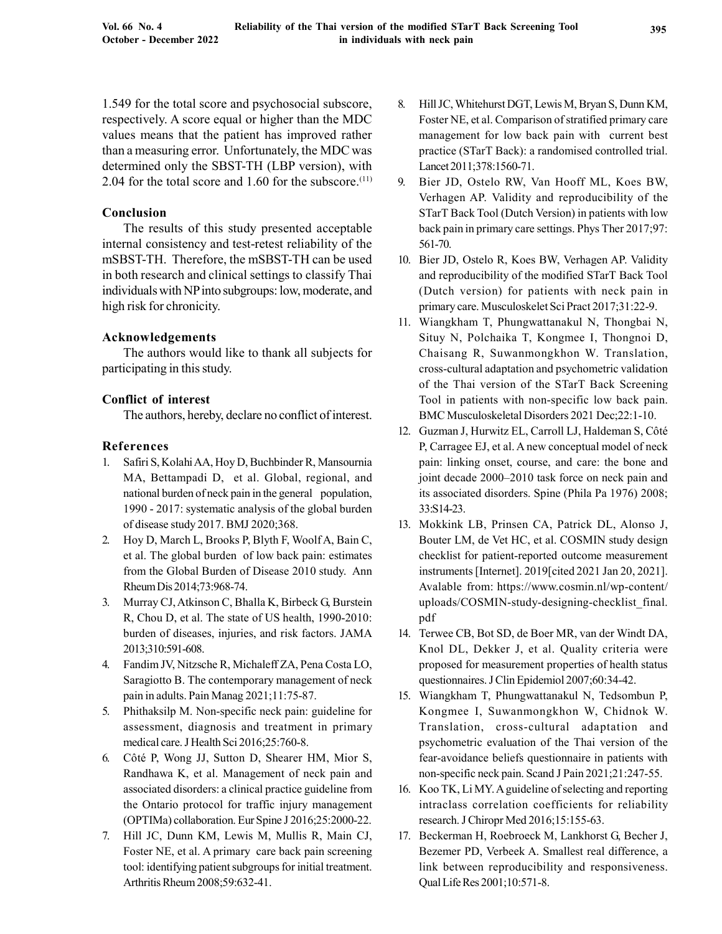1.549 for the total score and psychosocial subscore, respectively. A score equal or higher than the MDC values means that the patient has improved rather than a measuring error. Unfortunately, the MDC was determined only the SBST-TH (LBP version), with 2.04 for the total score and 1.60 for the subscore.(11)

## Conclusion

The results of this study presented acceptable internal consistency and test-retest reliability of the mSBST-TH. Therefore, the mSBST-TH can be used in both research and clinical settings to classify Thai individuals with NP into subgroups: low, moderate, and high risk for chronicity.

## Acknowledgements

The authors would like to thank all subjects for participating in this study.

## Conflict of interest

The authors, hereby, declare no conflict of interest.

## References

- 1. Safiri S, Kolahi AA, Hoy D, Buchbinder R, Mansournia MA, Bettampadi D, et al. Global, regional, and national burden of neck pain in the general population, 1990 - 2017: systematic analysis of the global burden of disease study 2017. BMJ 2020;368.
- 2. Hoy D, March L, Brooks P, Blyth F, Woolf A, Bain C, et al. The global burden of low back pain: estimates from the Global Burden of Disease 2010 study. Ann Rheum Dis 2014;73:968-74.
- 3. Murray CJ, Atkinson C, Bhalla K, Birbeck G, Burstein R, Chou D, et al. The state of US health, 1990-2010: burden of diseases, injuries, and risk factors. JAMA 2013;310:591-608.
- 4. Fandim JV, Nitzsche R, Michaleff ZA, Pena Costa LO, Saragiotto B. The contemporary management of neck pain in adults. Pain Manag 2021;11:75-87.
- 5. Phithaksilp M. Non-specific neck pain: guideline for assessment, diagnosis and treatment in primary medical care. J Health Sci 2016;25:760-8.
- 6. Côté P, Wong JJ, Sutton D, Shearer HM, Mior S, Randhawa K, et al. Management of neck pain and associated disorders: a clinical practice guideline from the Ontario protocol for traffic injury management (OPTIMa) collaboration. Eur Spine J 2016;25:2000-22.
- 7. Hill JC, Dunn KM, Lewis M, Mullis R, Main CJ, Foster NE, et al. A primary care back pain screening tool: identifying patient subgroups for initial treatment. Arthritis Rheum 2008;59:632-41.
- 8. Hill JC, Whitehurst DGT, Lewis M, Bryan S, Dunn KM, Foster NE, et al. Comparison of stratified primary care management for low back pain with current best practice (STarT Back): a randomised controlled trial. Lancet 2011;378:1560-71.
- 9. Bier JD, Ostelo RW, Van Hooff ML, Koes BW, Verhagen AP. Validity and reproducibility of the STarT Back Tool (Dutch Version) in patients with low back pain in primary care settings. Phys Ther 2017;97: 561-70.
- 10. Bier JD, Ostelo R, Koes BW, Verhagen AP. Validity and reproducibility of the modified STarT Back Tool (Dutch version) for patients with neck pain in primary care. Musculoskelet Sci Pract 2017;31:22-9.
- 11. Wiangkham T, Phungwattanakul N, Thongbai N, Situy N, Polchaika T, Kongmee I, Thongnoi D, Chaisang R, Suwanmongkhon W. Translation, cross-cultural adaptation and psychometric validation of the Thai version of the STarT Back Screening Tool in patients with non-specific low back pain. BMC Musculoskeletal Disorders 2021 Dec;22:1-10.
- 12. Guzman J, Hurwitz EL, Carroll LJ, Haldeman S, Côté P, Carragee EJ, et al. A new conceptual model of neck pain: linking onset, course, and care: the bone and joint decade 2000–2010 task force on neck pain and its associated disorders. Spine (Phila Pa 1976) 2008; 33:S14-23.
- 13. Mokkink LB, Prinsen CA, Patrick DL, Alonso J, Bouter LM, de Vet HC, et al. COSMIN study design checklist for patient-reported outcome measurement instruments [Internet]. 2019[cited 2021 Jan 20, 2021]. Avalable from: https://www.cosmin.nl/wp-content/ uploads/COSMIN-study-designing-checklist\_final. pdf
- 14. Terwee CB, Bot SD, de Boer MR, van der Windt DA, Knol DL, Dekker J, et al. Quality criteria were proposed for measurement properties of health status questionnaires. J Clin Epidemiol 2007;60:34-42.
- 15. Wiangkham T, Phungwattanakul N, Tedsombun P, Kongmee I, Suwanmongkhon W, Chidnok W. Translation, cross-cultural adaptation and psychometric evaluation of the Thai version of the fear-avoidance beliefs questionnaire in patients with non-specific neck pain. Scand J Pain 2021;21:247-55.
- 16. Koo TK, Li MY. A guideline of selecting and reporting intraclass correlation coefficients for reliability research. J Chiropr Med 2016;15:155-63.
- 17. Beckerman H, Roebroeck M, Lankhorst G, Becher J, Bezemer PD, Verbeek A. Smallest real difference, a link between reproducibility and responsiveness. Qual Life Res 2001;10:571-8.